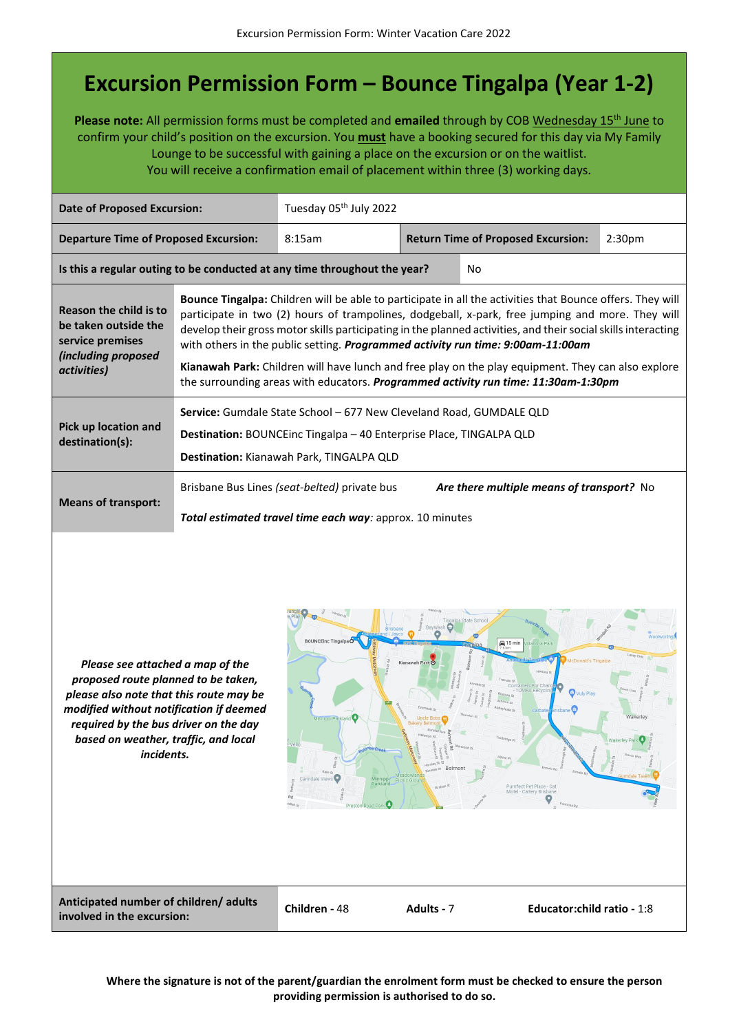## **Excursion Permission Form – Bounce Tingalpa (Year 1-2)**

**Please note:** All permission forms must be completed and **emailed** through by COB Wednesday 15th June to confirm your child's position on the excursion. You **must** have a booking secured for this day via My Family Lounge to be successful with gaining a place on the excursion or on the waitlist. You will receive a confirmation email of placement within three (3) working days.

| <b>Date of Proposed Excursion:</b>                                                                              |                                                                                                                                                                                                                                                                                                                                                                                                                                                                                                                                                                                                               | Tuesday 05 <sup>th</sup> July 2022                                                                              |                                                                 |                                           |  |  |
|-----------------------------------------------------------------------------------------------------------------|---------------------------------------------------------------------------------------------------------------------------------------------------------------------------------------------------------------------------------------------------------------------------------------------------------------------------------------------------------------------------------------------------------------------------------------------------------------------------------------------------------------------------------------------------------------------------------------------------------------|-----------------------------------------------------------------------------------------------------------------|-----------------------------------------------------------------|-------------------------------------------|--|--|
| <b>Departure Time of Proposed Excursion:</b>                                                                    |                                                                                                                                                                                                                                                                                                                                                                                                                                                                                                                                                                                                               | 8:15am                                                                                                          | <b>Return Time of Proposed Excursion:</b><br>2:30 <sub>pm</sub> |                                           |  |  |
|                                                                                                                 |                                                                                                                                                                                                                                                                                                                                                                                                                                                                                                                                                                                                               | Is this a regular outing to be conducted at any time throughout the year?                                       |                                                                 | No                                        |  |  |
| Reason the child is to<br>be taken outside the<br>service premises<br><i>(including proposed</i><br>activities) | Bounce Tingalpa: Children will be able to participate in all the activities that Bounce offers. They will<br>participate in two (2) hours of trampolines, dodgeball, x-park, free jumping and more. They will<br>develop their gross motor skills participating in the planned activities, and their social skills interacting<br>with others in the public setting. Programmed activity run time: 9:00am-11:00am<br>Kianawah Park: Children will have lunch and free play on the play equipment. They can also explore<br>the surrounding areas with educators. Programmed activity run time: 11:30am-1:30pm |                                                                                                                 |                                                                 |                                           |  |  |
| Pick up location and<br>destination(s):                                                                         | Service: Gumdale State School - 677 New Cleveland Road, GUMDALE QLD<br>Destination: BOUNCEinc Tingalpa - 40 Enterprise Place, TINGALPA QLD<br>Destination: Kianawah Park, TINGALPA QLD                                                                                                                                                                                                                                                                                                                                                                                                                        |                                                                                                                 |                                                                 |                                           |  |  |
| <b>Means of transport:</b>                                                                                      |                                                                                                                                                                                                                                                                                                                                                                                                                                                                                                                                                                                                               | Brisbane Bus Lines (seat-belted) private bus<br><b>Total estimated travel time each way:</b> approx. 10 minutes |                                                                 | Are there multiple means of transport? No |  |  |
|                                                                                                                 |                                                                                                                                                                                                                                                                                                                                                                                                                                                                                                                                                                                                               |                                                                                                                 |                                                                 |                                           |  |  |

*Please see attached a map of the proposed route planned to be taken, please also note that this route may be modified without notification if deemed required by the bus driver on the day based on weather, traffic, and local incidents.*



**Anticipated number of children/ adults involved in the excursion: Children -** <sup>48</sup> **Adults -** <sup>7</sup> **Educator:child ratio -** 1:8

**Where the signature is not of the parent/guardian the enrolment form must be checked to ensure the person providing permission is authorised to do so.**